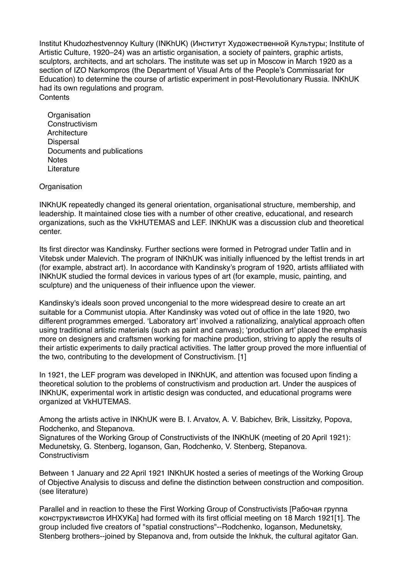Institut Khudozhestvennoy Kultury (INKhUK) (Институт Художественной Культуры; Institute of Artistic Culture, 1920–24) was an artistic organisation, a society of painters, graphic artists, sculptors, architects, and art scholars. The institute was set up in Moscow in March 1920 as a section of IZO Narkompros (the Department of Visual Arts of the People's Commissariat for Education) to determine the course of artistic experiment in post-Revolutionary Russia. INKhUK had its own regulations and program. Contents

**Organisation Constructivism Architecture Dispersal**  Documents and publications **Notes** Literature

## **Organisation**

INKhUK repeatedly changed its general orientation, organisational structure, membership, and leadership. It maintained close ties with a number of other creative, educational, and research organizations, such as the VkHUTEMAS and LEF. INKhUK was a discussion club and theoretical center.

Its first director was Kandinsky. Further sections were formed in Petrograd under Tatlin and in Vitebsk under Malevich. The program of INKhUK was initially influenced by the leftist trends in art (for example, abstract art). In accordance with Kandinsky's program of 1920, artists affiliated with INKhUK studied the formal devices in various types of art (for example, music, painting, and sculpture) and the uniqueness of their influence upon the viewer.

Kandinsky's ideals soon proved uncongenial to the more widespread desire to create an art suitable for a Communist utopia. After Kandinsky was voted out of office in the late 1920, two different programmes emerged. 'Laboratory art' involved a rationalizing, analytical approach often using traditional artistic materials (such as paint and canvas); 'production art' placed the emphasis more on designers and craftsmen working for machine production, striving to apply the results of their artistic experiments to daily practical activities. The latter group proved the more influential of the two, contributing to the development of Constructivism. [1]

In 1921, the LEF program was developed in INKhUK, and attention was focused upon finding a theoretical solution to the problems of constructivism and production art. Under the auspices of INKhUK, experimental work in artistic design was conducted, and educational programs were organized at VkHUTEMAS.

Among the artists active in INKhUK were B. I. Arvatov, A. V. Babichev, Brik, Lissitzky, Popova, Rodchenko, and Stepanova.

Signatures of the Working Group of Constructivists of the INKhUK (meeting of 20 April 1921): Medunetsky, G. Stenberg, Ioganson, Gan, Rodchenko, V. Stenberg, Stepanova. **Constructivism** 

Between 1 January and 22 April 1921 INKhUK hosted a series of meetings of the Working Group of Objective Analysis to discuss and define the distinction between construction and composition. (see literature)

Parallel and in reaction to these the First Working Group of Constructivists [Рабочая группа конструктивистов ИНХУКа] had formed with its first official meeting on 18 March 1921[1]. The group included five creators of "spatial constructions"--Rodchenko, Ioganson, Medunetsky, Stenberg brothers--joined by Stepanova and, from outside the Inkhuk, the cultural agitator Gan.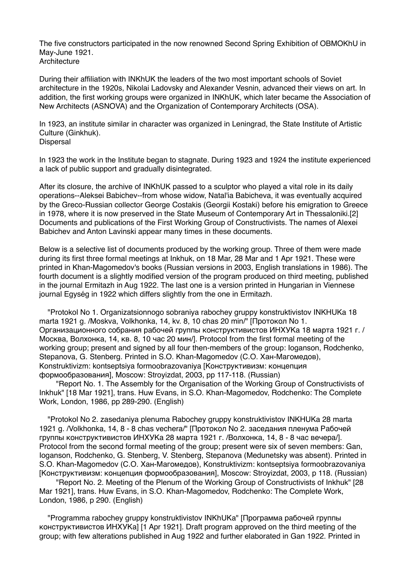The five constructors participated in the now renowned Second Spring Exhibition of OBMOKhU in May-June 1921. **Architecture** 

During their affiliation with INKhUK the leaders of the two most important schools of Soviet architecture in the 1920s, Nikolai Ladovsky and Alexander Vesnin, advanced their views on art. In addition, the first working groups were organized in INKhUK, which later became the Association of New Architects (ASNOVA) and the Organization of Contemporary Architects (OSA).

In 1923, an institute similar in character was organized in Leningrad, the State Institute of Artistic Culture (Ginkhuk). **Dispersal** 

In 1923 the work in the Institute began to stagnate. During 1923 and 1924 the institute experienced a lack of public support and gradually disintegrated.

After its closure, the archive of INKhUK passed to a sculptor who played a vital role in its daily operations--Aleksei Babichev--from whose widow, Natal'ia Babicheva, it was eventually acquired by the Greco-Russian collector George Costakis (Georgii Kostaki) before his emigration to Greece in 1978, where it is now preserved in the State Museum of Contemporary Art in Thessaloniki.[2] Documents and publications of the First Working Group of Constructivists. The names of Alexei Babichev and Anton Lavinski appear many times in these documents.

Below is a selective list of documents produced by the working group. Three of them were made during its first three formal meetings at Inkhuk, on 18 Mar, 28 Mar and 1 Apr 1921. These were printed in Khan-Magomedov's books (Russian versions in 2003, English translations in 1986). The fourth document is a slightly modified version of the program produced on third meeting, published in the journal Ermitazh in Aug 1922. The last one is a version printed in Hungarian in Viennese journal Egység in 1922 which differs slightly from the one in Ermitazh.

 "Protokol No 1. Organizatsionnogo sobraniya rabochey gruppy konstruktivistov INKHUKa 18 marta 1921 g. /Moskva, Volkhonka, 14, kv. 8, 10 chas 20 min/" [Протокол No 1. Организационного собрания рабочей группы конструктивистов ИНХУКа 18 марта 1921 г. / Москва, Волхонка, 14, кв. 8, 10 час 20 мин/]. Protocol from the first formal meeting of the working group; present and signed by all four then-members of the group; Ioganson, Rodchenko, Stepanova, G. Stenberg. Printed in S.O. Khan-Magomedov (С.О. Хан-Магомедов), Konstruktivizm: kontseptsiya formoobrazovaniya [Конструктивизм: концепция формообразования], Moscow: Stroyizdat, 2003, pp 117-118. (Russian)

 "Report No. 1. The Assembly for the Organisation of the Working Group of Constructivists of Inkhuk" [18 Mar 1921], trans. Huw Evans, in S.O. Khan-Magomedov, Rodchenko: The Complete Work, London, 1986, pp 289-290. (English)

 "Protokol No 2. zasedaniya plenuma Rabochey gruppy konstruktivistov INKHUKa 28 marta 1921 g. /Volkhonka, 14, 8 - 8 chas vechera/" [Протокол No 2. заседания пленума Рабочей группы конструктивистов ИНХУКа 28 марта 1921 г. /Волхонка, 14, 8 - 8 час вечера/]. Protocol from the second formal meeting of the group; present were six of seven members: Gan, Ioganson, Rodchenko, G. Stenberg, V. Stenberg, Stepanova (Medunetsky was absent). Printed in S.O. Khan-Magomedov (С.О. Хан-Магомедов), Konstruktivizm: kontseptsiya formoobrazovaniya [Конструктивизм: концепция формообразования], Moscow: Stroyizdat, 2003, p 118. (Russian)

 "Report No. 2. Meeting of the Plenum of the Working Group of Constructivists of Inkhuk" [28 Mar 1921], trans. Huw Evans, in S.O. Khan-Magomedov, Rodchenko: The Complete Work, London, 1986, p 290. (English)

 "Programma rabochey gruppy konstruktivistov INKhUKa" [Программа рабочей группы конструктивистов ИНХУКа] [1 Apr 1921]. Draft program approved on the third meeting of the group; with few alterations published in Aug 1922 and further elaborated in Gan 1922. Printed in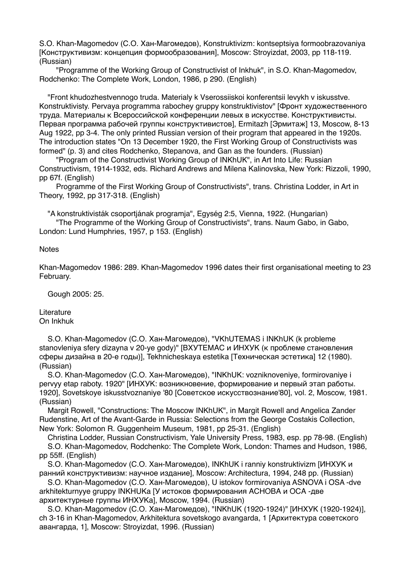S.O. Khan-Magomedov (С.О. Хан-Магомедов), Konstruktivizm: kontseptsiya formoobrazovaniya [Конструктивизм: концепция формообразования], Moscow: Stroyizdat, 2003, pp 118-119. (Russian)

 "Programme of the Working Group of Constructivist of Inkhuk", in S.O. Khan-Magomedov, Rodchenko: The Complete Work, London, 1986, p 290. (English)

 "Front khudozhestvennogo truda. Materialy k Vserossiiskoi konferentsii levykh v iskusstve. Konstruktivisty. Pervaya programma rabochey gruppy konstruktivistov" [Фронт художественного труда. Материалы к Всероссийской конференции левых в искусстве. Конструктивисты. Первая программа рабочей группы конструктивистов], Ermitazh [Эрмитаж] 13, Moscow, 8-13 Aug 1922, pp 3-4. The only printed Russian version of their program that appeared in the 1920s. The introduction states "On 13 December 1920, the First Working Group of Constructivists was formed" (p. 3) and cites Rodchenko, Stepanova, and Gan as the founders. (Russian)

 "Program of the Constructivist Working Group of INKhUK", in Art Into Life: Russian Constructivism, 1914-1932, eds. Richard Andrews and Milena Kalinovska, New York: Rizzoli, 1990, pp 67f. (English)

 Programme of the First Working Group of Constructivists", trans. Christina Lodder, in Art in Theory, 1992, pp 317-318. (English)

"A konstruktivisták csoportjának programja", Egység 2:5, Vienna, 1922. (Hungarian)

 "The Programme of the Working Group of Constructivists", trans. Naum Gabo, in Gabo, London: Lund Humphries, 1957, p 153. (English)

**Notes** 

Khan-Magomedov 1986: 289. Khan-Magomedov 1996 dates their first organisational meeting to 23 February.

Gough 2005: 25.

**Literature** On Inkhuk

 S.O. Khan-Magomedov (С.О. Хан-Магомедов), "VKhUTEMAS i INKhUK (k probleme stanovleniya sfery dizayna v 20-ye gody)" [ВХУТЕМАС и ИНХУК (к проблеме становления сферы дизайна в 20-е годы)], Tekhnicheskaya estetika [Техническая эстетика] 12 (1980). (Russian)

 S.O. Khan-Magomedov (С.О. Хан-Магомедов), "INKhUK: vozniknoveniye, formirovaniye i pervyy etap raboty. 1920" [ИНХУК: возникновение, формирование и первый этап работы. 1920], Sovetskoye iskusstvoznaniye '80 [Советское искусствознание'80], vol. 2, Moscow, 1981. (Russian)

 Margit Rowell, "Constructions: The Moscow INKhUK", in Margit Rowell and Angelica Zander Rudenstine, Art of the Avant-Garde in Russia: Selections from the George Costakis Collection, New York: Solomon R. Guggenheim Museum, 1981, pp 25-31. (English)

 Christina Lodder, Russian Constructivism, Yale University Press, 1983, esp. pp 78-98. (English) S.O. Khan-Magomedov, Rodchenko: The Complete Work, London: Thames and Hudson, 1986, pp 55ff. (English)

 S.O. Khan-Magomedov (С.О. Хан-Магомедов), INKhUK i ranniy konstruktivizm [ИНХУК и ранний конструктивизм: научное издание], Moscow: Architectura, 1994, 248 pp. (Russian)

 S.O. Khan-Magomedov (С.О. Хан-Магомедов), U istokov formirovaniya ASNOVA i OSA -dve arkhitekturnyye gruppy INKHUKa [У истоков формирования АСНОВА и ОСА -две архитектурные группы ИНХУКа], Moscow, 1994. (Russian)

 S.O. Khan-Magomedov (С.О. Хан-Магомедов), "INKhUK (1920-1924)" [ИНХУК (1920-1924)], ch 3-16 in Khan-Magomedov, Arkhitektura sovetskogo avangarda, 1 [Архитектура советского авангарда, 1], Moscow: Stroyizdat, 1996. (Russian)